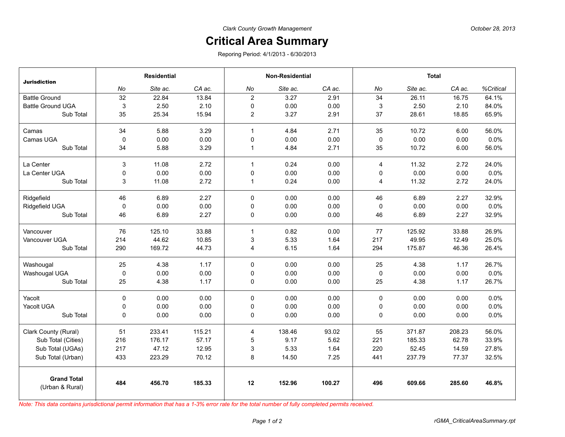## **Critical Area Summary**

Reporing Period: 4/1/2013 - 6/30/2013

| <b>Jurisdiction</b>                   | <b>Residential</b> |          |        | <b>Non-Residential</b> |          |        | <b>Total</b>   |          |        |           |
|---------------------------------------|--------------------|----------|--------|------------------------|----------|--------|----------------|----------|--------|-----------|
|                                       | No                 | Site ac. | CA ac. | No                     | Site ac. | CA ac. | No             | Site ac. | CA ac. | %Critical |
| <b>Battle Ground</b>                  | 32                 | 22.84    | 13.84  | $\overline{2}$         | 3.27     | 2.91   | 34             | 26.11    | 16.75  | 64.1%     |
| <b>Battle Ground UGA</b>              | 3                  | 2.50     | 2.10   | $\mathbf 0$            | 0.00     | 0.00   | 3              | 2.50     | 2.10   | 84.0%     |
| Sub Total                             | 35                 | 25.34    | 15.94  | $\overline{c}$         | 3.27     | 2.91   | 37             | 28.61    | 18.85  | 65.9%     |
| Camas                                 | 34                 | 5.88     | 3.29   | $\mathbf{1}$           | 4.84     | 2.71   | 35             | 10.72    | 6.00   | 56.0%     |
| Camas UGA                             | 0                  | 0.00     | 0.00   | 0                      | 0.00     | 0.00   | 0              | 0.00     | 0.00   | 0.0%      |
| Sub Total                             | 34                 | 5.88     | 3.29   | $\mathbf{1}$           | 4.84     | 2.71   | 35             | 10.72    | 6.00   | 56.0%     |
| La Center                             | 3                  | 11.08    | 2.72   | $\mathbf{1}$           | 0.24     | 0.00   | $\overline{4}$ | 11.32    | 2.72   | 24.0%     |
| La Center UGA                         | 0                  | 0.00     | 0.00   | 0                      | 0.00     | 0.00   | 0              | 0.00     | 0.00   | 0.0%      |
| Sub Total                             | 3                  | 11.08    | 2.72   | $\mathbf{1}$           | 0.24     | 0.00   | 4              | 11.32    | 2.72   | 24.0%     |
| Ridgefield                            | 46                 | 6.89     | 2.27   | $\mathbf 0$            | 0.00     | 0.00   | 46             | 6.89     | 2.27   | 32.9%     |
| Ridgefield UGA                        | $\mathbf 0$        | 0.00     | 0.00   | $\mathbf 0$            | 0.00     | 0.00   | 0              | 0.00     | 0.00   | 0.0%      |
| Sub Total                             | 46                 | 6.89     | 2.27   | 0                      | 0.00     | 0.00   | 46             | 6.89     | 2.27   | 32.9%     |
| Vancouver                             | 76                 | 125.10   | 33.88  | $\mathbf{1}$           | 0.82     | 0.00   | 77             | 125.92   | 33.88  | 26.9%     |
| Vancouver UGA                         | 214                | 44.62    | 10.85  | 3                      | 5.33     | 1.64   | 217            | 49.95    | 12.49  | 25.0%     |
| Sub Total                             | 290                | 169.72   | 44.73  | 4                      | 6.15     | 1.64   | 294            | 175.87   | 46.36  | 26.4%     |
| Washougal                             | 25                 | 4.38     | 1.17   | 0                      | 0.00     | 0.00   | 25             | 4.38     | 1.17   | 26.7%     |
| Washougal UGA                         | $\mathbf 0$        | 0.00     | 0.00   | $\mathbf 0$            | 0.00     | 0.00   | $\mathbf 0$    | 0.00     | 0.00   | 0.0%      |
| Sub Total                             | 25                 | 4.38     | 1.17   | 0                      | 0.00     | 0.00   | 25             | 4.38     | 1.17   | 26.7%     |
| Yacolt                                | 0                  | 0.00     | 0.00   | $\mathbf 0$            | 0.00     | 0.00   | 0              | 0.00     | 0.00   | 0.0%      |
| Yacolt UGA                            | 0                  | 0.00     | 0.00   | 0                      | 0.00     | 0.00   | 0              | 0.00     | 0.00   | 0.0%      |
| Sub Total                             | 0                  | 0.00     | 0.00   | 0                      | 0.00     | 0.00   | 0              | 0.00     | 0.00   | 0.0%      |
| Clark County (Rural)                  | 51                 | 233.41   | 115.21 | 4                      | 138.46   | 93.02  | 55             | 371.87   | 208.23 | 56.0%     |
| Sub Total (Cities)                    | 216                | 176.17   | 57.17  | $\mathbf 5$            | 9.17     | 5.62   | 221            | 185.33   | 62.78  | 33.9%     |
| Sub Total (UGAs)                      | 217                | 47.12    | 12.95  | 3                      | 5.33     | 1.64   | 220            | 52.45    | 14.59  | 27.8%     |
| Sub Total (Urban)                     | 433                | 223.29   | 70.12  | 8                      | 14.50    | 7.25   | 441            | 237.79   | 77.37  | 32.5%     |
| <b>Grand Total</b><br>(Urban & Rural) | 484                | 456.70   | 185.33 | 12                     | 152.96   | 100.27 | 496            | 609.66   | 285.60 | 46.8%     |

*Note: This data contains jurisdictional permit information that has a 1-3% error rate for the total number of fully completed permits received.*